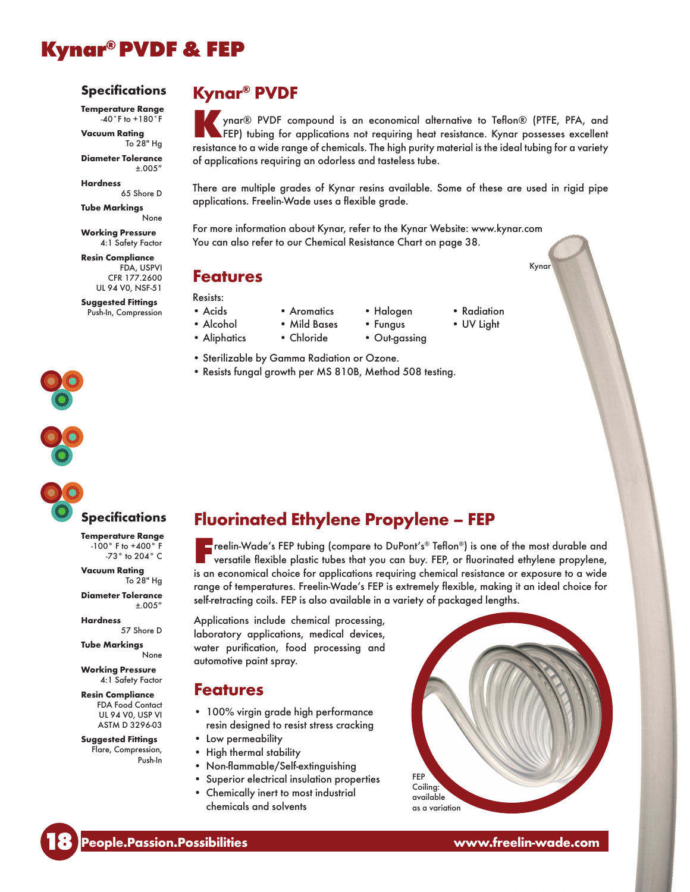# Kynar® PVDF & FEP

#### **Specifications**

Temperature Range  $-40°$  F to  $+180°$  F

Vacuum Rating To 28" Hg Diameter Tolerance  $+.005''$ 

**Hardness** 65 Shore D

Tube Markings

None Working Pressure 4:1 Safety Factor

Resin Compliance FDA, USPVI CFR 177.2600 UL 94 V0, NSF-51

Suggested Fittings Push-In, Compression

## Kynar® PVDF

Kynar® PVDF compound is an economical alternative to Teflon® (PTFE, PFA, and **AFEP)** tubing for applications not requiring heat resistance. Kynar possesses excellent resistance to a wide range of chemicals. The high purity material is the ideal tubing for a variety of applications requiring an odorless and tasteless tube.

There are multiple grades of Kynar resins available. Some of these are used in rigid pipe applications. Freelin-Wade uses a flexible grade.

For more information about Kynar, refer to the Kynar Website: www.kynar.com You can also refer to our Chemical Resistance Chart on page 38.

## Features

Resists:

- Acids Aromatics Halogen Radiation
- Alcohol Mild Bases Fungus UV Light
	-
- 
- 
- Aliphatics Chloride Out-gassing
- Sterilizable by Gamma Radiation or Ozone.
- Resists fungal growth per MS 810B, Method 508 testing.

## Specifications

Temperature Range -100° F to +400° F -73° to 204° C

Vacuum Rating To 28" Hg

Diameter Tolerance  $±.005''$ 

Hardness 57 Shore D

Tube Markings None

Working Pressure 4:1 Safety Factor

Resin Compliance FDA Food Contact UL 94 V0, USP VI ASTM D 3296-03

Suggested Fittings Flare, Compression, Push-In



Freelin-Wade's FEP tubing (compare to DuPont's® Teflon®) is one of the most durable and versatile flexible plastic tubes that you can buy. FEP, or fluorinated ethylene propylene, is an economical choice for applications requiring chemical resistance or exposure to a wide range of temperatures. Freelin-Wade's FEP is extremely flexible, making it an ideal choice for self-retracting coils. FEP is also available in a variety of packaged lengths.

Applications include chemical processing, laboratory applications, medical devices, water purification, food processing and automotive paint spray.

# Features

- 100% virgin grade high performance resin designed to resist stress cracking
- Low permeability
- High thermal stability
- Non-flammable/Self-extinguishing
- Superior electrical insulation properties
- Chemically inert to most industrial chemicals and solvents



www.freelin-wade.com

Kynar